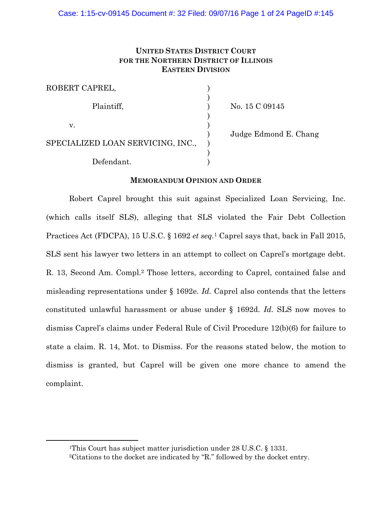# **UNITED STATES DISTRICT COURT FOR THE NORTHERN DISTRICT OF ILLINOIS EASTERN DIVISION**

| ROBERT CAPREL,                    |  |
|-----------------------------------|--|
| Plaintiff,                        |  |
| V.                                |  |
| SPECIALIZED LOAN SERVICING, INC., |  |
| Defendant.                        |  |

No. 15 C 09145

) Judge Edmond E. Chang

## **MEMORANDUM OPINION AND ORDER**

Robert Caprel brought this suit against Specialized Loan Servicing, Inc. (which calls itself SLS), alleging that SLS violated the Fair Debt Collection Practices Act (FDCPA), 15 U.S.C. § 1692 *et seq.*1 Caprel says that, back in Fall 2015, SLS sent his lawyer two letters in an attempt to collect on Caprel's mortgage debt. R. 13, Second Am. Compl.2 Those letters, according to Caprel, contained false and misleading representations under § 1692e. *Id.* Caprel also contends that the letters constituted unlawful harassment or abuse under § 1692d. *Id.* SLS now moves to dismiss Caprel's claims under Federal Rule of Civil Procedure 12(b)(6) for failure to state a claim. R. 14, Mot. to Dismiss. For the reasons stated below, the motion to dismiss is granted, but Caprel will be given one more chance to amend the complaint.

 $\overline{a}$ 

<sup>1</sup>This Court has subject matter jurisdiction under 28 U.S.C. § 1331. 2Citations to the docket are indicated by "R." followed by the docket entry.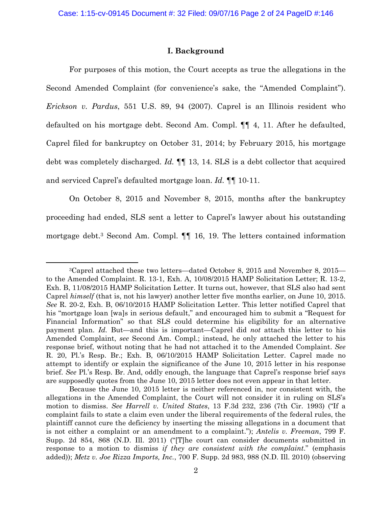## **I. Background**

 For purposes of this motion, the Court accepts as true the allegations in the Second Amended Complaint (for convenience's sake, the "Amended Complaint"). *Erickson v. Pardus*, 551 U.S. 89, 94 (2007). Caprel is an Illinois resident who defaulted on his mortgage debt. Second Am. Compl. ¶¶ 4, 11. After he defaulted, Caprel filed for bankruptcy on October 31, 2014; by February 2015, his mortgage debt was completely discharged. *Id.* ¶¶ 13, 14. SLS is a debt collector that acquired and serviced Caprel's defaulted mortgage loan. *Id.* ¶¶ 10-11.

On October 8, 2015 and November 8, 2015, months after the bankruptcy proceeding had ended, SLS sent a letter to Caprel's lawyer about his outstanding mortgage debt.3 Second Am. Compl. ¶¶ 16, 19. The letters contained information

1

<sup>3</sup>Caprel attached these two letters—dated October 8, 2015 and November 8, 2015 to the Amended Complaint. R. 13-1, Exh. A, 10/08/2015 HAMP Solicitation Letter; R. 13-2, Exh. B, 11/08/2015 HAMP Solicitation Letter. It turns out, however, that SLS also had sent Caprel *himself* (that is, not his lawyer) another letter five months earlier, on June 10, 2015. *See* R. 20-2, Exh. B, 06/10/2015 HAMP Solicitation Letter. This letter notified Caprel that his "mortgage loan [wa]s in serious default," and encouraged him to submit a "Request for Financial Information" so that SLS could determine his eligibility for an alternative payment plan. *Id.* But—and this is important—Caprel did *not* attach this letter to his Amended Complaint, *see* Second Am. Compl.; instead, he only attached the letter to his response brief, without noting that he had not attached it to the Amended Complaint. *See* R. 20, Pl.'s Resp. Br.; Exh. B, 06/10/2015 HAMP Solicitation Letter. Caprel made no attempt to identify or explain the significance of the June 10, 2015 letter in his response brief. *See* Pl.'s Resp. Br. And, oddly enough, the language that Caprel's response brief says are supposedly quotes from the June 10, 2015 letter does not even appear in that letter.

Because the June 10, 2015 letter is neither referenced in, nor consistent with, the allegations in the Amended Complaint, the Court will not consider it in ruling on SLS's motion to dismiss. *See Harrell v. United States*, 13 F.3d 232, 236 (7th Cir. 1993) ("If a complaint fails to state a claim even under the liberal requirements of the federal rules, the plaintiff cannot cure the deficiency by inserting the missing allegations in a document that is not either a complaint or an amendment to a complaint."); *Antelis v. Freeman*, 799 F. Supp. 2d 854, 868 (N.D. Ill. 2011) ("[T]he court can consider documents submitted in response to a motion to dismiss *if they are consistent with the complaint*." (emphasis added)); *Metz v. Joe Rizza Imports, Inc.*, 700 F. Supp. 2d 983, 988 (N.D. Ill. 2010) (observing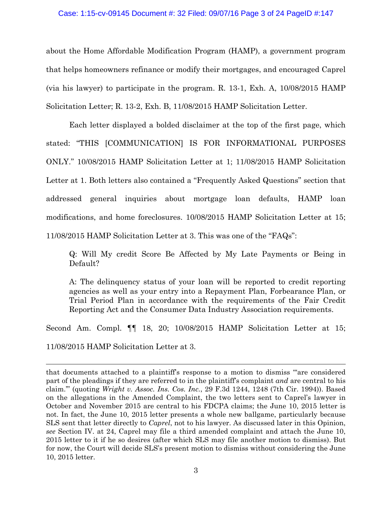### Case: 1:15-cv-09145 Document #: 32 Filed: 09/07/16 Page 3 of 24 PageID #:147

about the Home Affordable Modification Program (HAMP), a government program that helps homeowners refinance or modify their mortgages, and encouraged Caprel (via his lawyer) to participate in the program. R. 13-1, Exh. A, 10/08/2015 HAMP Solicitation Letter; R. 13-2, Exh. B, 11/08/2015 HAMP Solicitation Letter.

Each letter displayed a bolded disclaimer at the top of the first page, which stated: "THIS [COMMUNICATION] IS FOR INFORMATIONAL PURPOSES ONLY." 10/08/2015 HAMP Solicitation Letter at 1; 11/08/2015 HAMP Solicitation Letter at 1. Both letters also contained a "Frequently Asked Questions" section that addressed general inquiries about mortgage loan defaults, HAMP loan modifications, and home foreclosures. 10/08/2015 HAMP Solicitation Letter at 15; 11/08/2015 HAMP Solicitation Letter at 3. This was one of the "FAQs":

Q: Will My credit Score Be Affected by My Late Payments or Being in Default?

A: The delinquency status of your loan will be reported to credit reporting agencies as well as your entry into a Repayment Plan, Forbearance Plan, or Trial Period Plan in accordance with the requirements of the Fair Credit Reporting Act and the Consumer Data Industry Association requirements.

Second Am. Compl. ¶¶ 18, 20; 10/08/2015 HAMP Solicitation Letter at 15;

11/08/2015 HAMP Solicitation Letter at 3.

 $\overline{a}$ 

that documents attached to a plaintiff's response to a motion to dismiss "'are considered part of the pleadings if they are referred to in the plaintiff's complaint *and* are central to his claim.'" (quoting *Wright v. Assoc. Ins. Cos. Inc.*, 29 F.3d 1244, 1248 (7th Cir. 1994)). Based on the allegations in the Amended Complaint, the two letters sent to Caprel's lawyer in October and November 2015 are central to his FDCPA claims; the June 10, 2015 letter is not. In fact, the June 10, 2015 letter presents a whole new ballgame, particularly because SLS sent that letter directly to *Caprel*, not to his lawyer. As discussed later in this Opinion, *see* Section IV. at 24, Caprel may file a third amended complaint and attach the June 10, 2015 letter to it if he so desires (after which SLS may file another motion to dismiss). But for now, the Court will decide SLS's present motion to dismiss without considering the June 10, 2015 letter.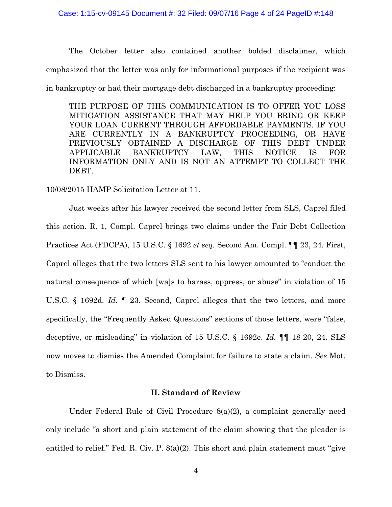#### Case: 1:15-cv-09145 Document #: 32 Filed: 09/07/16 Page 4 of 24 PageID #:148

The October letter also contained another bolded disclaimer, which emphasized that the letter was only for informational purposes if the recipient was in bankruptcy or had their mortgage debt discharged in a bankruptcy proceeding:

THE PURPOSE OF THIS COMMUNICATION IS TO OFFER YOU LOSS MITIGATION ASSISTANCE THAT MAY HELP YOU BRING OR KEEP YOUR LOAN CURRENT THROUGH AFFORDABLE PAYMENTS. IF YOU ARE CURRENTLY IN A BANKRUPTCY PROCEEDING, OR HAVE PREVIOUSLY OBTAINED A DISCHARGE OF THIS DEBT UNDER APPLICABLE BANKRUPTCY LAW, THIS NOTICE IS FOR INFORMATION ONLY AND IS NOT AN ATTEMPT TO COLLECT THE DEBT.

10/08/2015 HAMP Solicitation Letter at 11.

Just weeks after his lawyer received the second letter from SLS, Caprel filed this action. R. 1, Compl. Caprel brings two claims under the Fair Debt Collection Practices Act (FDCPA), 15 U.S.C. § 1692 *et seq.* Second Am. Compl. ¶¶ 23, 24. First, Caprel alleges that the two letters SLS sent to his lawyer amounted to "conduct the natural consequence of which [wa]s to harass, oppress, or abuse" in violation of 15 U.S.C. § 1692d. *Id.* ¶ 23. Second, Caprel alleges that the two letters, and more specifically, the "Frequently Asked Questions" sections of those letters, were "false, deceptive, or misleading" in violation of 15 U.S.C. § 1692e. *Id.* ¶¶ 18-20, 24. SLS now moves to dismiss the Amended Complaint for failure to state a claim. *See* Mot. to Dismiss.

# **II. Standard of Review**

Under Federal Rule of Civil Procedure 8(a)(2), a complaint generally need only include "a short and plain statement of the claim showing that the pleader is entitled to relief." Fed. R. Civ. P. 8(a)(2). This short and plain statement must "give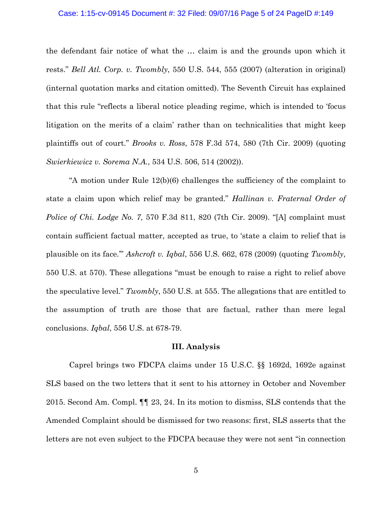#### Case: 1:15-cv-09145 Document #: 32 Filed: 09/07/16 Page 5 of 24 PageID #:149

the defendant fair notice of what the … claim is and the grounds upon which it rests." *Bell Atl. Corp. v. Twombly*, 550 U.S. 544, 555 (2007) (alteration in original) (internal quotation marks and citation omitted). The Seventh Circuit has explained that this rule "reflects a liberal notice pleading regime, which is intended to 'focus litigation on the merits of a claim' rather than on technicalities that might keep plaintiffs out of court." *Brooks v. Ross*, 578 F.3d 574, 580 (7th Cir. 2009) (quoting *Swierkiewicz v. Sorema N.A.*, 534 U.S. 506, 514 (2002)).

"A motion under Rule  $12(b)(6)$  challenges the sufficiency of the complaint to state a claim upon which relief may be granted." *Hallinan v. Fraternal Order of Police of Chi. Lodge No. 7*, 570 F.3d 811, 820 (7th Cir. 2009). "[A] complaint must contain sufficient factual matter, accepted as true, to 'state a claim to relief that is plausible on its face.'" *Ashcroft v. Iqbal*, 556 U.S. 662, 678 (2009) (quoting *Twombly*, 550 U.S. at 570). These allegations "must be enough to raise a right to relief above the speculative level." *Twombly*, 550 U.S. at 555. The allegations that are entitled to the assumption of truth are those that are factual, rather than mere legal conclusions. *Iqbal*, 556 U.S. at 678-79.

### **III. Analysis**

Caprel brings two FDCPA claims under 15 U.S.C. §§ 1692d, 1692e against SLS based on the two letters that it sent to his attorney in October and November 2015. Second Am. Compl. ¶¶ 23, 24. In its motion to dismiss, SLS contends that the Amended Complaint should be dismissed for two reasons: first, SLS asserts that the letters are not even subject to the FDCPA because they were not sent "in connection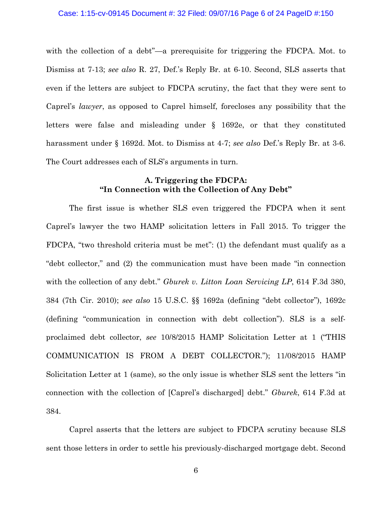with the collection of a debt"—a prerequisite for triggering the FDCPA. Mot. to Dismiss at 7-13; *see also* R. 27, Def.'s Reply Br. at 6-10. Second, SLS asserts that even if the letters are subject to FDCPA scrutiny, the fact that they were sent to Caprel's *lawyer*, as opposed to Caprel himself, forecloses any possibility that the letters were false and misleading under § 1692e, or that they constituted harassment under § 1692d. Mot. to Dismiss at 4-7; *see also* Def.'s Reply Br. at 3-6. The Court addresses each of SLS's arguments in turn.

# **A. Triggering the FDCPA: "In Connection with the Collection of Any Debt"**

The first issue is whether SLS even triggered the FDCPA when it sent Caprel's lawyer the two HAMP solicitation letters in Fall 2015. To trigger the FDCPA, "two threshold criteria must be met": (1) the defendant must qualify as a "debt collector," and (2) the communication must have been made "in connection with the collection of any debt." *Gburek v. Litton Loan Servicing LP*, 614 F.3d 380, 384 (7th Cir. 2010); *see also* 15 U.S.C. §§ 1692a (defining "debt collector"), 1692c (defining "communication in connection with debt collection"). SLS is a selfproclaimed debt collector, *see* 10/8/2015 HAMP Solicitation Letter at 1 ("THIS COMMUNICATION IS FROM A DEBT COLLECTOR."); 11/08/2015 HAMP Solicitation Letter at 1 (same), so the only issue is whether SLS sent the letters "in connection with the collection of [Caprel's discharged] debt." *Gburek*, 614 F.3d at 384.

Caprel asserts that the letters are subject to FDCPA scrutiny because SLS sent those letters in order to settle his previously-discharged mortgage debt. Second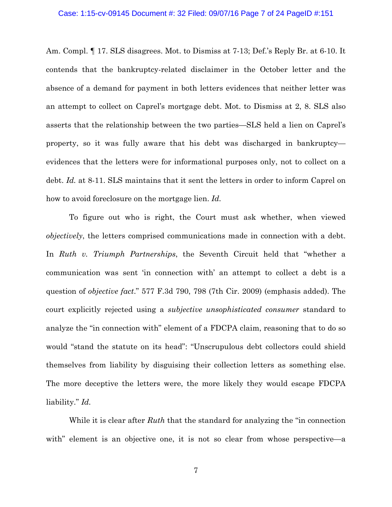#### Case: 1:15-cv-09145 Document #: 32 Filed: 09/07/16 Page 7 of 24 PageID #:151

Am. Compl. ¶ 17. SLS disagrees. Mot. to Dismiss at 7-13; Def.'s Reply Br. at 6-10. It contends that the bankruptcy-related disclaimer in the October letter and the absence of a demand for payment in both letters evidences that neither letter was an attempt to collect on Caprel's mortgage debt. Mot. to Dismiss at 2, 8. SLS also asserts that the relationship between the two parties—SLS held a lien on Caprel's property, so it was fully aware that his debt was discharged in bankruptcy evidences that the letters were for informational purposes only, not to collect on a debt. *Id.* at 8-11. SLS maintains that it sent the letters in order to inform Caprel on how to avoid foreclosure on the mortgage lien. *Id.*

To figure out who is right, the Court must ask whether, when viewed *objectively*, the letters comprised communications made in connection with a debt. In *Ruth v. Triumph Partnerships*, the Seventh Circuit held that "whether a communication was sent 'in connection with' an attempt to collect a debt is a question of *objective fact*." 577 F.3d 790, 798 (7th Cir. 2009) (emphasis added). The court explicitly rejected using a *subjective unsophisticated consumer* standard to analyze the "in connection with" element of a FDCPA claim, reasoning that to do so would "stand the statute on its head": "Unscrupulous debt collectors could shield themselves from liability by disguising their collection letters as something else. The more deceptive the letters were, the more likely they would escape FDCPA liability." *Id.*

While it is clear after *Ruth* that the standard for analyzing the "in connection with" element is an objective one, it is not so clear from whose perspective—a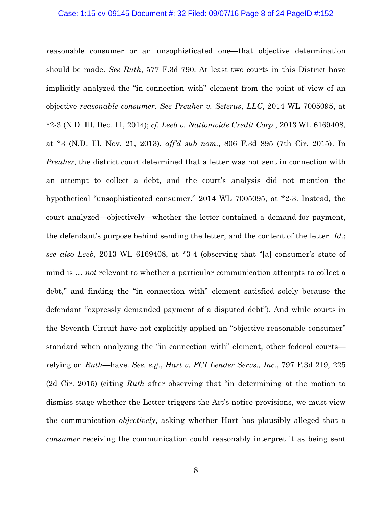#### Case: 1:15-cv-09145 Document #: 32 Filed: 09/07/16 Page 8 of 24 PageID #:152

reasonable consumer or an unsophisticated one—that objective determination should be made. *See Ruth*, 577 F.3d 790. At least two courts in this District have implicitly analyzed the "in connection with" element from the point of view of an objective *reasonable consumer*. *See Preuher v. Seterus, LLC*, 2014 WL 7005095, at \*2-3 (N.D. Ill. Dec. 11, 2014); *cf. Leeb v. Nationwide Credit Corp*., 2013 WL 6169408, at \*3 (N.D. Ill. Nov. 21, 2013), *aff'd sub nom.*, 806 F.3d 895 (7th Cir. 2015). In *Preuher*, the district court determined that a letter was not sent in connection with an attempt to collect a debt, and the court's analysis did not mention the hypothetical "unsophisticated consumer." 2014 WL 7005095, at \*2-3. Instead, the court analyzed—objectively—whether the letter contained a demand for payment, the defendant's purpose behind sending the letter, and the content of the letter. *Id.*; *see also Leeb*, 2013 WL 6169408, at \*3-4 (observing that "[a] consumer's state of mind is … *not* relevant to whether a particular communication attempts to collect a debt," and finding the "in connection with" element satisfied solely because the defendant "expressly demanded payment of a disputed debt"). And while courts in the Seventh Circuit have not explicitly applied an "objective reasonable consumer" standard when analyzing the "in connection with" element, other federal courts relying on *Ruth*—have. *See, e.g.*, *Hart v. FCI Lender Servs., Inc.*, 797 F.3d 219, 225 (2d Cir. 2015) (citing *Ruth* after observing that "in determining at the motion to dismiss stage whether the Letter triggers the Act's notice provisions, we must view the communication *objectively*, asking whether Hart has plausibly alleged that a *consumer* receiving the communication could reasonably interpret it as being sent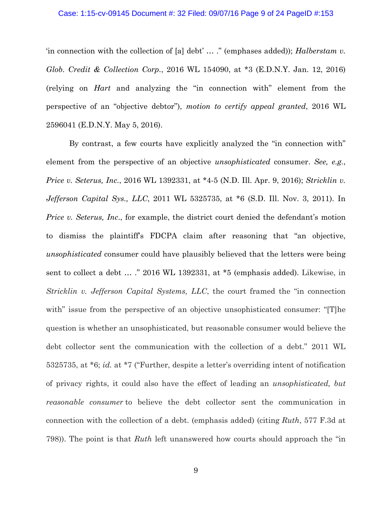#### Case: 1:15-cv-09145 Document #: 32 Filed: 09/07/16 Page 9 of 24 PageID #:153

'in connection with the collection of [a] debt' … ." (emphases added)); *Halberstam v. Glob. Credit & Collection Corp.*, 2016 WL 154090, at \*3 (E.D.N.Y. Jan. 12, 2016) (relying on *Hart* and analyzing the "in connection with" element from the perspective of an "objective debtor"), *motion to certify appeal granted*, 2016 WL 2596041 (E.D.N.Y. May 5, 2016).

By contrast, a few courts have explicitly analyzed the "in connection with" element from the perspective of an objective *unsophisticated* consumer. *See, e.g.*, *Price v. Seterus, Inc.*, 2016 WL 1392331, at \*4-5 (N.D. Ill. Apr. 9, 2016); *Stricklin v. Jefferson Capital Sys., LLC*, 2011 WL 5325735, at \*6 (S.D. Ill. Nov. 3, 2011). In *Price v. Seterus, Inc., for example, the district court denied the defendant's motion* to dismiss the plaintiff's FDCPA claim after reasoning that "an objective, *unsophisticated* consumer could have plausibly believed that the letters were being sent to collect a debt … ." 2016 WL 1392331, at \*5 (emphasis added). Likewise, in *Stricklin v. Jefferson Capital Systems, LLC*, the court framed the "in connection with" issue from the perspective of an objective unsophisticated consumer: "[T]he question is whether an unsophisticated, but reasonable consumer would believe the debt collector sent the communication with the collection of a debt." 2011 WL 5325735, at \*6; *id.* at \*7 ("Further, despite a letter's overriding intent of notification of privacy rights, it could also have the effect of leading an *unsophisticated, but reasonable consumer* to believe the debt collector sent the communication in connection with the collection of a debt. (emphasis added) (citing *Ruth*, 577 F.3d at 798)). The point is that *Ruth* left unanswered how courts should approach the "in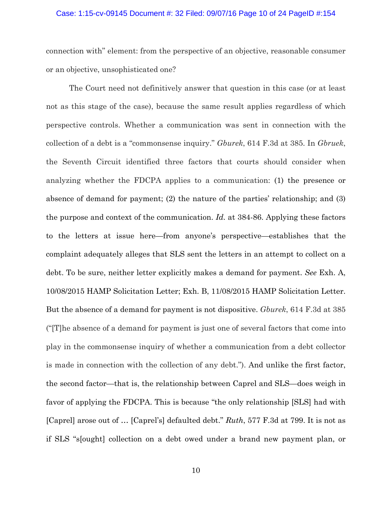#### Case: 1:15-cv-09145 Document #: 32 Filed: 09/07/16 Page 10 of 24 PageID #:154

connection with" element: from the perspective of an objective, reasonable consumer or an objective, unsophisticated one?

The Court need not definitively answer that question in this case (or at least not as this stage of the case), because the same result applies regardless of which perspective controls. Whether a communication was sent in connection with the collection of a debt is a "commonsense inquiry." *Gburek*, 614 F.3d at 385. In *Gbruek*, the Seventh Circuit identified three factors that courts should consider when analyzing whether the FDCPA applies to a communication: (1) the presence or absence of demand for payment; (2) the nature of the parties' relationship; and (3) the purpose and context of the communication. *Id.* at 384-86. Applying these factors to the letters at issue here—from anyone's perspective—establishes that the complaint adequately alleges that SLS sent the letters in an attempt to collect on a debt. To be sure, neither letter explicitly makes a demand for payment. *See* Exh. A, 10/08/2015 HAMP Solicitation Letter; Exh. B, 11/08/2015 HAMP Solicitation Letter. But the absence of a demand for payment is not dispositive. *Gburek*, 614 F.3d at 385 ("[T]he absence of a demand for payment is just one of several factors that come into play in the commonsense inquiry of whether a communication from a debt collector is made in connection with the collection of any debt."). And unlike the first factor, the second factor—that is, the relationship between Caprel and SLS—does weigh in favor of applying the FDCPA. This is because "the only relationship [SLS] had with [Caprel] arose out of … [Caprel's] defaulted debt." *Ruth*, 577 F.3d at 799. It is not as if SLS "s[ought] collection on a debt owed under a brand new payment plan, or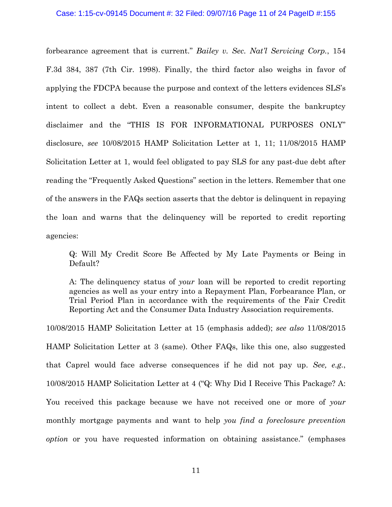#### Case: 1:15-cv-09145 Document #: 32 Filed: 09/07/16 Page 11 of 24 PageID #:155

forbearance agreement that is current." *Bailey v. Sec. Nat'l Servicing Corp.*, 154 F.3d 384, 387 (7th Cir. 1998). Finally, the third factor also weighs in favor of applying the FDCPA because the purpose and context of the letters evidences SLS's intent to collect a debt. Even a reasonable consumer, despite the bankruptcy disclaimer and the "THIS IS FOR INFORMATIONAL PURPOSES ONLY" disclosure, *see* 10/08/2015 HAMP Solicitation Letter at 1, 11; 11/08/2015 HAMP Solicitation Letter at 1, would feel obligated to pay SLS for any past-due debt after reading the "Frequently Asked Questions" section in the letters. Remember that one of the answers in the FAQs section asserts that the debtor is delinquent in repaying the loan and warns that the delinquency will be reported to credit reporting agencies:

Q: Will My Credit Score Be Affected by My Late Payments or Being in Default?

A: The delinquency status of *your* loan will be reported to credit reporting agencies as well as your entry into a Repayment Plan, Forbearance Plan, or Trial Period Plan in accordance with the requirements of the Fair Credit Reporting Act and the Consumer Data Industry Association requirements.

10/08/2015 HAMP Solicitation Letter at 15 (emphasis added); *see also* 11/08/2015 HAMP Solicitation Letter at 3 (same). Other FAQs, like this one, also suggested that Caprel would face adverse consequences if he did not pay up. *See, e.g.*, 10/08/2015 HAMP Solicitation Letter at 4 ("Q: Why Did I Receive This Package? A: You received this package because we have not received one or more of *your* monthly mortgage payments and want to help *you find a foreclosure prevention option* or you have requested information on obtaining assistance." (emphases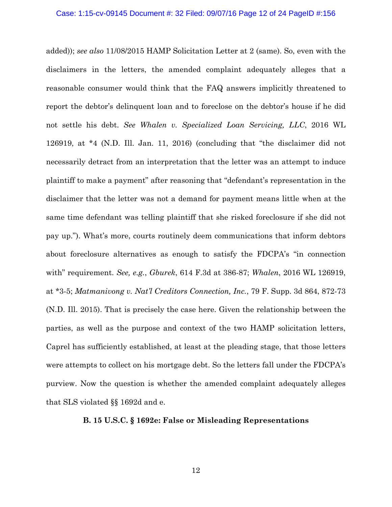added)); *see also* 11/08/2015 HAMP Solicitation Letter at 2 (same). So, even with the disclaimers in the letters, the amended complaint adequately alleges that a reasonable consumer would think that the FAQ answers implicitly threatened to report the debtor's delinquent loan and to foreclose on the debtor's house if he did not settle his debt. *See Whalen v. Specialized Loan Servicing, LLC*, 2016 WL 126919, at \*4 (N.D. Ill. Jan. 11, 2016) (concluding that "the disclaimer did not necessarily detract from an interpretation that the letter was an attempt to induce plaintiff to make a payment" after reasoning that "defendant's representation in the disclaimer that the letter was not a demand for payment means little when at the same time defendant was telling plaintiff that she risked foreclosure if she did not pay up."). What's more, courts routinely deem communications that inform debtors about foreclosure alternatives as enough to satisfy the FDCPA's "in connection with" requirement. *See, e.g.*, *Gburek*, 614 F.3d at 386-87; *Whalen*, 2016 WL 126919, at \*3-5; *Matmanivong v. Nat'l Creditors Connection, Inc.*, 79 F. Supp. 3d 864, 872-73 (N.D. Ill. 2015). That is precisely the case here. Given the relationship between the parties, as well as the purpose and context of the two HAMP solicitation letters, Caprel has sufficiently established, at least at the pleading stage, that those letters were attempts to collect on his mortgage debt. So the letters fall under the FDCPA's purview. Now the question is whether the amended complaint adequately alleges that SLS violated §§ 1692d and e.

## **B. 15 U.S.C. § 1692e: False or Misleading Representations**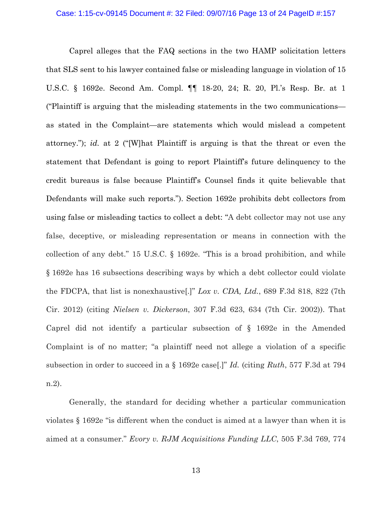#### Case: 1:15-cv-09145 Document #: 32 Filed: 09/07/16 Page 13 of 24 PageID #:157

Caprel alleges that the FAQ sections in the two HAMP solicitation letters that SLS sent to his lawyer contained false or misleading language in violation of 15 U.S.C. § 1692e. Second Am. Compl. ¶¶ 18-20, 24; R. 20, Pl.'s Resp. Br. at 1 ("Plaintiff is arguing that the misleading statements in the two communications as stated in the Complaint—are statements which would mislead a competent attorney."); *id.* at 2 ("[W]hat Plaintiff is arguing is that the threat or even the statement that Defendant is going to report Plaintiff's future delinquency to the credit bureaus is false because Plaintiff's Counsel finds it quite believable that Defendants will make such reports."). Section 1692e prohibits debt collectors from using false or misleading tactics to collect a debt: "A debt collector may not use any false, deceptive, or misleading representation or means in connection with the collection of any debt." 15 U.S.C. § 1692e. "This is a broad prohibition, and while § 1692e has 16 subsections describing ways by which a debt collector could violate the FDCPA, that list is nonexhaustive[.]" *Lox v. CDA, Ltd.*, 689 F.3d 818, 822 (7th Cir. 2012) (citing *Nielsen v. Dickerson*, 307 F.3d 623, 634 (7th Cir. 2002)). That Caprel did not identify a particular subsection of § 1692e in the Amended Complaint is of no matter; "a plaintiff need not allege a violation of a specific subsection in order to succeed in a § 1692e case[.]" *Id.* (citing *Ruth*, 577 F.3d at 794 n.2).

Generally, the standard for deciding whether a particular communication violates § 1692e "is different when the conduct is aimed at a lawyer than when it is aimed at a consumer." *Evory v. RJM Acquisitions Funding LLC*, 505 F.3d 769, 774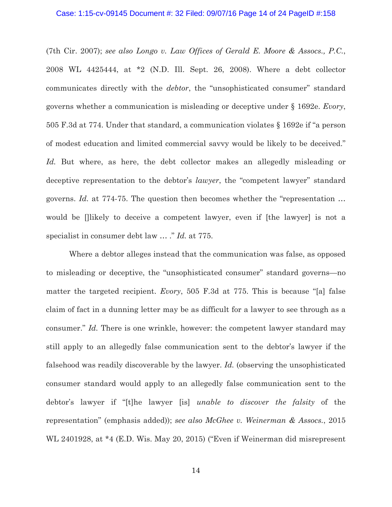#### Case: 1:15-cv-09145 Document #: 32 Filed: 09/07/16 Page 14 of 24 PageID #:158

(7th Cir. 2007); *see also Longo v. Law Offices of Gerald E. Moore & Assocs., P.C.*, 2008 WL 4425444, at \*2 (N.D. Ill. Sept. 26, 2008). Where a debt collector communicates directly with the *debtor*, the "unsophisticated consumer" standard governs whether a communication is misleading or deceptive under § 1692e. *Evory*, 505 F.3d at 774. Under that standard, a communication violates § 1692e if "a person of modest education and limited commercial savvy would be likely to be deceived." *Id.* But where, as here, the debt collector makes an allegedly misleading or deceptive representation to the debtor's *lawyer*, the "competent lawyer" standard governs. *Id.* at 774-75. The question then becomes whether the "representation … would be []likely to deceive a competent lawyer, even if [the lawyer] is not a specialist in consumer debt law … ." *Id.* at 775.

Where a debtor alleges instead that the communication was false, as opposed to misleading or deceptive, the "unsophisticated consumer" standard governs—no matter the targeted recipient. *Evory*, 505 F.3d at 775. This is because "[a] false claim of fact in a dunning letter may be as difficult for a lawyer to see through as a consumer." *Id.* There is one wrinkle, however: the competent lawyer standard may still apply to an allegedly false communication sent to the debtor's lawyer if the falsehood was readily discoverable by the lawyer. *Id.* (observing the unsophisticated consumer standard would apply to an allegedly false communication sent to the debtor's lawyer if "[t]he lawyer [is] *unable to discover the falsity* of the representation" (emphasis added)); *see also McGhee v. Weinerman & Assocs.*, 2015 WL 2401928, at \*4 (E.D. Wis. May 20, 2015) ("Even if Weinerman did misrepresent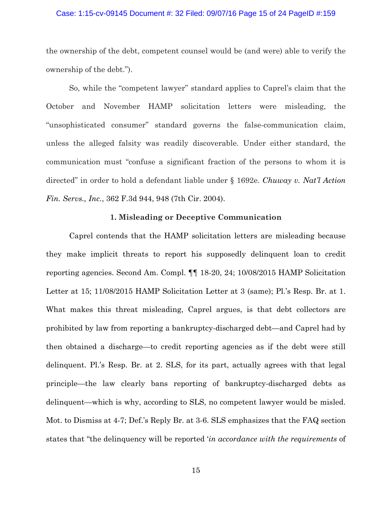#### Case: 1:15-cv-09145 Document #: 32 Filed: 09/07/16 Page 15 of 24 PageID #:159

the ownership of the debt, competent counsel would be (and were) able to verify the ownership of the debt.").

So, while the "competent lawyer" standard applies to Caprel's claim that the October and November HAMP solicitation letters were misleading, the "unsophisticated consumer" standard governs the false-communication claim, unless the alleged falsity was readily discoverable. Under either standard, the communication must "confuse a significant fraction of the persons to whom it is directed" in order to hold a defendant liable under § 1692e. *Chuway v. Nat'l Action Fin. Servs., Inc.*, 362 F.3d 944, 948 (7th Cir. 2004).

### **1. Misleading or Deceptive Communication**

Caprel contends that the HAMP solicitation letters are misleading because they make implicit threats to report his supposedly delinquent loan to credit reporting agencies. Second Am. Compl. ¶¶ 18-20, 24; 10/08/2015 HAMP Solicitation Letter at 15; 11/08/2015 HAMP Solicitation Letter at 3 (same); Pl.'s Resp. Br. at 1. What makes this threat misleading, Caprel argues, is that debt collectors are prohibited by law from reporting a bankruptcy-discharged debt—and Caprel had by then obtained a discharge—to credit reporting agencies as if the debt were still delinquent. Pl.'s Resp. Br. at 2. SLS, for its part, actually agrees with that legal principle—the law clearly bans reporting of bankruptcy-discharged debts as delinquent—which is why, according to SLS, no competent lawyer would be misled. Mot. to Dismiss at 4-7; Def.'s Reply Br. at 3-6. SLS emphasizes that the FAQ section states that "the delinquency will be reported '*in accordance with the requirements* of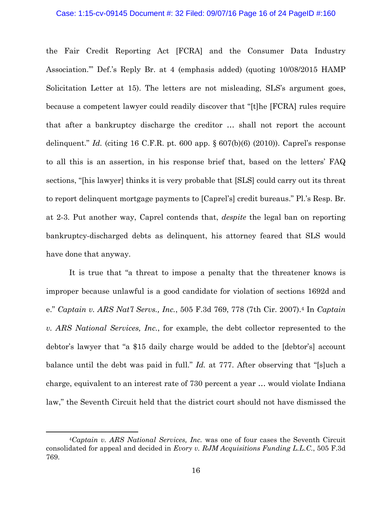#### Case: 1:15-cv-09145 Document #: 32 Filed: 09/07/16 Page 16 of 24 PageID #:160

the Fair Credit Reporting Act [FCRA] and the Consumer Data Industry Association.'" Def.'s Reply Br. at 4 (emphasis added) (quoting 10/08/2015 HAMP Solicitation Letter at 15). The letters are not misleading, SLS's argument goes, because a competent lawyer could readily discover that "[t]he [FCRA] rules require that after a bankruptcy discharge the creditor … shall not report the account delinquent." *Id.* (citing 16 C.F.R. pt. 600 app.  $\S 607(b)(6)$  (2010)). Caprel's response to all this is an assertion, in his response brief that, based on the letters' FAQ sections, "[his lawyer] thinks it is very probable that [SLS] could carry out its threat to report delinquent mortgage payments to [Caprel's] credit bureaus." Pl.'s Resp. Br. at 2-3. Put another way, Caprel contends that, *despite* the legal ban on reporting bankruptcy-discharged debts as delinquent, his attorney feared that SLS would have done that anyway.

It is true that "a threat to impose a penalty that the threatener knows is improper because unlawful is a good candidate for violation of sections 1692d and e." *Captain v. ARS Nat'l Servs., Inc.*, 505 F.3d 769, 778 (7th Cir. 2007).4 In *Captain v. ARS National Services, Inc.*, for example, the debt collector represented to the debtor's lawyer that "a \$15 daily charge would be added to the [debtor's] account balance until the debt was paid in full." *Id.* at 777. After observing that "[s]uch a charge, equivalent to an interest rate of 730 percent a year … would violate Indiana law," the Seventh Circuit held that the district court should not have dismissed the

 $\overline{a}$ 

<sup>4</sup>*Captain v. ARS National Services, Inc.* was one of four cases the Seventh Circuit consolidated for appeal and decided in *Evory v. RJM Acquisitions Funding L.L.C.*, 505 F.3d 769.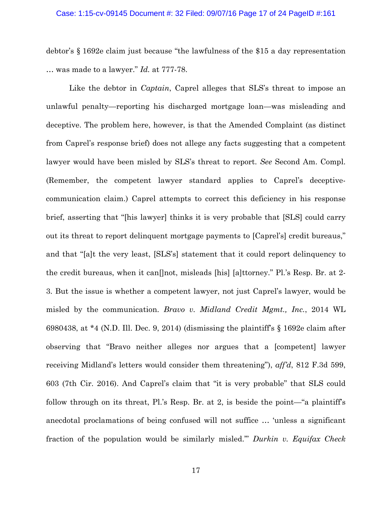#### Case: 1:15-cv-09145 Document #: 32 Filed: 09/07/16 Page 17 of 24 PageID #:161

debtor's § 1692e claim just because "the lawfulness of the \$15 a day representation … was made to a lawyer." *Id.* at 777-78.

Like the debtor in *Captain*, Caprel alleges that SLS's threat to impose an unlawful penalty—reporting his discharged mortgage loan—was misleading and deceptive. The problem here, however, is that the Amended Complaint (as distinct from Caprel's response brief) does not allege any facts suggesting that a competent lawyer would have been misled by SLS's threat to report. *See* Second Am. Compl. (Remember, the competent lawyer standard applies to Caprel's deceptivecommunication claim.) Caprel attempts to correct this deficiency in his response brief, asserting that "[his lawyer] thinks it is very probable that [SLS] could carry out its threat to report delinquent mortgage payments to [Caprel's] credit bureaus," and that "[a]t the very least, [SLS's] statement that it could report delinquency to the credit bureaus, when it can[]not, misleads [his] [a]ttorney." Pl.'s Resp. Br. at 2- 3. But the issue is whether a competent lawyer, not just Caprel's lawyer, would be misled by the communication. *Bravo v. Midland Credit Mgmt., Inc.*, 2014 WL 6980438, at  $*4$  (N.D. Ill. Dec. 9, 2014) (dismissing the plaintiff's  $\S$  1692e claim after observing that "Bravo neither alleges nor argues that a [competent] lawyer receiving Midland's letters would consider them threatening"), *aff'd*, 812 F.3d 599, 603 (7th Cir. 2016). And Caprel's claim that "it is very probable" that SLS could follow through on its threat, Pl.'s Resp. Br. at 2, is beside the point—"a plaintiff's anecdotal proclamations of being confused will not suffice … 'unless a significant fraction of the population would be similarly misled.'" *Durkin v. Equifax Check*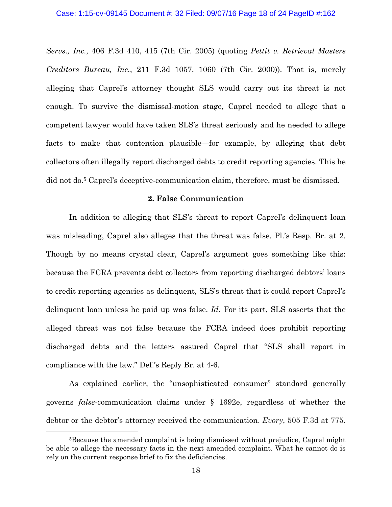*Servs., Inc.*, 406 F.3d 410, 415 (7th Cir. 2005) (quoting *Pettit v. Retrieval Masters Creditors Bureau, Inc.*, 211 F.3d 1057, 1060 (7th Cir. 2000)). That is, merely alleging that Caprel's attorney thought SLS would carry out its threat is not enough. To survive the dismissal-motion stage, Caprel needed to allege that a competent lawyer would have taken SLS's threat seriously and he needed to allege facts to make that contention plausible—for example, by alleging that debt collectors often illegally report discharged debts to credit reporting agencies. This he did not do.5 Caprel's deceptive-communication claim, therefore, must be dismissed.

## **2. False Communication**

In addition to alleging that SLS's threat to report Caprel's delinquent loan was misleading, Caprel also alleges that the threat was false. Pl.'s Resp. Br. at 2. Though by no means crystal clear, Caprel's argument goes something like this: because the FCRA prevents debt collectors from reporting discharged debtors' loans to credit reporting agencies as delinquent, SLS's threat that it could report Caprel's delinquent loan unless he paid up was false. *Id.* For its part, SLS asserts that the alleged threat was not false because the FCRA indeed does prohibit reporting discharged debts and the letters assured Caprel that "SLS shall report in compliance with the law." Def.'s Reply Br. at 4-6.

As explained earlier, the "unsophisticated consumer" standard generally governs *false*-communication claims under § 1692e, regardless of whether the debtor or the debtor's attorney received the communication. *Evory*, 505 F.3d at 775.

<u>.</u>

<sup>5</sup>Because the amended complaint is being dismissed without prejudice, Caprel might be able to allege the necessary facts in the next amended complaint. What he cannot do is rely on the current response brief to fix the deficiencies.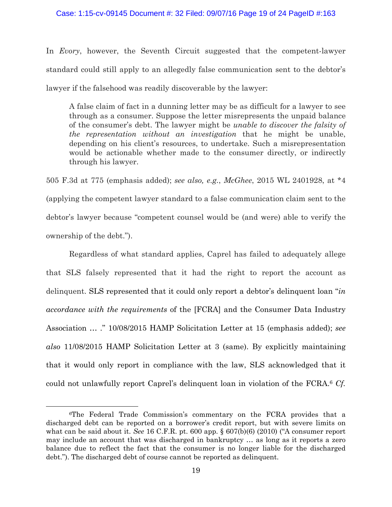## Case: 1:15-cv-09145 Document #: 32 Filed: 09/07/16 Page 19 of 24 PageID #:163

In *Evory*, however, the Seventh Circuit suggested that the competent-lawyer standard could still apply to an allegedly false communication sent to the debtor's lawyer if the falsehood was readily discoverable by the lawyer:

A false claim of fact in a dunning letter may be as difficult for a lawyer to see through as a consumer. Suppose the letter misrepresents the unpaid balance of the consumer's debt. The lawyer might be *unable to discover the falsity of the representation without an investigation* that he might be unable, depending on his client's resources, to undertake. Such a misrepresentation would be actionable whether made to the consumer directly, or indirectly through his lawyer.

505 F.3d at 775 (emphasis added); *see also, e.g.*, *McGhee*, 2015 WL 2401928, at \*4 (applying the competent lawyer standard to a false communication claim sent to the debtor's lawyer because "competent counsel would be (and were) able to verify the ownership of the debt.").

Regardless of what standard applies, Caprel has failed to adequately allege that SLS falsely represented that it had the right to report the account as delinquent. SLS represented that it could only report a debtor's delinquent loan "*in accordance with the requirements* of the [FCRA] and the Consumer Data Industry Association … ." 10/08/2015 HAMP Solicitation Letter at 15 (emphasis added); *see also* 11/08/2015 HAMP Solicitation Letter at 3 (same). By explicitly maintaining that it would only report in compliance with the law, SLS acknowledged that it could not unlawfully report Caprel's delinquent loan in violation of the FCRA.6 *Cf.* 

1

<sup>6</sup>The Federal Trade Commission's commentary on the FCRA provides that a discharged debt can be reported on a borrower's credit report, but with severe limits on what can be said about it. *See* 16 C.F.R. pt. 600 app. § 607(b)(6) (2010) ("A consumer report may include an account that was discharged in bankruptcy … as long as it reports a zero balance due to reflect the fact that the consumer is no longer liable for the discharged debt."). The discharged debt of course cannot be reported as delinquent.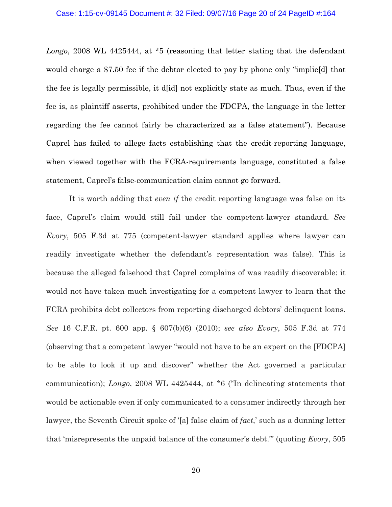*Longo*, 2008 WL 4425444, at \*5 (reasoning that letter stating that the defendant would charge a \$7.50 fee if the debtor elected to pay by phone only "implie[d] that the fee is legally permissible, it d[id] not explicitly state as much. Thus, even if the fee is, as plaintiff asserts, prohibited under the FDCPA, the language in the letter regarding the fee cannot fairly be characterized as a false statement"). Because Caprel has failed to allege facts establishing that the credit-reporting language, when viewed together with the FCRA-requirements language, constituted a false statement, Caprel's false-communication claim cannot go forward.

It is worth adding that *even if* the credit reporting language was false on its face, Caprel's claim would still fail under the competent-lawyer standard. *See Evory*, 505 F.3d at 775 (competent-lawyer standard applies where lawyer can readily investigate whether the defendant's representation was false). This is because the alleged falsehood that Caprel complains of was readily discoverable: it would not have taken much investigating for a competent lawyer to learn that the FCRA prohibits debt collectors from reporting discharged debtors' delinquent loans. *See* 16 C.F.R. pt. 600 app. § 607(b)(6) (2010); *see also Evory*, 505 F.3d at 774 (observing that a competent lawyer "would not have to be an expert on the [FDCPA] to be able to look it up and discover" whether the Act governed a particular communication); *Longo*, 2008 WL 4425444, at \*6 ("In delineating statements that would be actionable even if only communicated to a consumer indirectly through her lawyer, the Seventh Circuit spoke of '[a] false claim of *fact*,' such as a dunning letter that 'misrepresents the unpaid balance of the consumer's debt.'" (quoting *Evory*, 505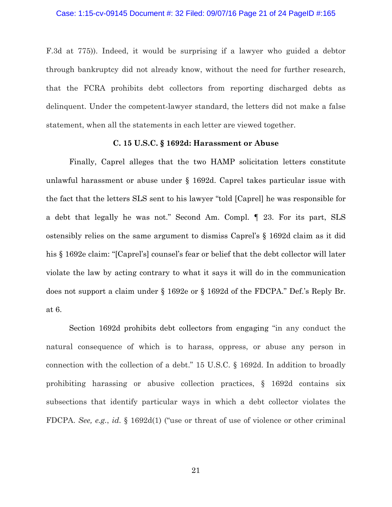F.3d at 775)). Indeed, it would be surprising if a lawyer who guided a debtor through bankruptcy did not already know, without the need for further research, that the FCRA prohibits debt collectors from reporting discharged debts as delinquent. Under the competent-lawyer standard, the letters did not make a false statement, when all the statements in each letter are viewed together.

### **C. 15 U.S.C. § 1692d: Harassment or Abuse**

Finally, Caprel alleges that the two HAMP solicitation letters constitute unlawful harassment or abuse under § 1692d. Caprel takes particular issue with the fact that the letters SLS sent to his lawyer "told [Caprel] he was responsible for a debt that legally he was not." Second Am. Compl. ¶ 23. For its part, SLS ostensibly relies on the same argument to dismiss Caprel's § 1692d claim as it did his § 1692e claim: "[Caprel's] counsel's fear or belief that the debt collector will later violate the law by acting contrary to what it says it will do in the communication does not support a claim under § 1692e or § 1692d of the FDCPA." Def.'s Reply Br. at 6.

Section 1692d prohibits debt collectors from engaging "in any conduct the natural consequence of which is to harass, oppress, or abuse any person in connection with the collection of a debt." 15 U.S.C. § 1692d. In addition to broadly prohibiting harassing or abusive collection practices, § 1692d contains six subsections that identify particular ways in which a debt collector violates the FDCPA. *See, e.g.*, *id.* § 1692d(1) ("use or threat of use of violence or other criminal

21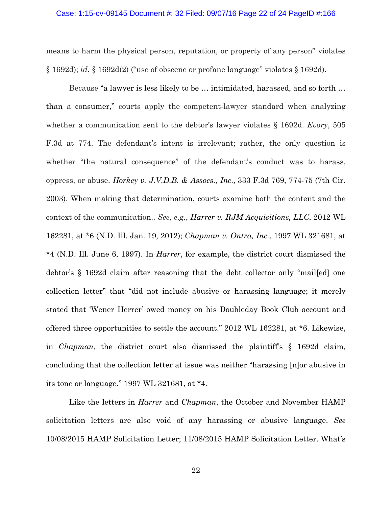#### Case: 1:15-cv-09145 Document #: 32 Filed: 09/07/16 Page 22 of 24 PageID #:166

means to harm the physical person, reputation, or property of any person" violates § 1692d); *id.* § 1692d(2) ("use of obscene or profane language" violates § 1692d).

Because "a lawyer is less likely to be … intimidated, harassed, and so forth … than a consumer," courts apply the competent-lawyer standard when analyzing whether a communication sent to the debtor's lawyer violates § 1692d. *Evory*, 505 F.3d at 774. The defendant's intent is irrelevant; rather, the only question is whether "the natural consequence" of the defendant's conduct was to harass, oppress, or abuse. *Horkey v. J.V.D.B. & Assocs., Inc.,* 333 F.3d 769, 774-75 (7th Cir. 2003). When making that determination, courts examine both the content and the context of the communication.. *See, e.g.*, *Harrer v. RJM Acquisitions, LLC*, 2012 WL 162281, at \*6 (N.D. Ill. Jan. 19, 2012); *Chapman v. Ontra, Inc.*, 1997 WL 321681, at \*4 (N.D. Ill. June 6, 1997). In *Harrer*, for example, the district court dismissed the debtor's § 1692d claim after reasoning that the debt collector only "mail[ed] one collection letter" that "did not include abusive or harassing language; it merely stated that 'Wener Herrer' owed money on his Doubleday Book Club account and offered three opportunities to settle the account." 2012 WL 162281, at \*6. Likewise, in *Chapman*, the district court also dismissed the plaintiff's § 1692d claim, concluding that the collection letter at issue was neither "harassing [n]or abusive in its tone or language." 1997 WL 321681, at \*4.

 Like the letters in *Harrer* and *Chapman*, the October and November HAMP solicitation letters are also void of any harassing or abusive language. *See* 10/08/2015 HAMP Solicitation Letter; 11/08/2015 HAMP Solicitation Letter. What's

22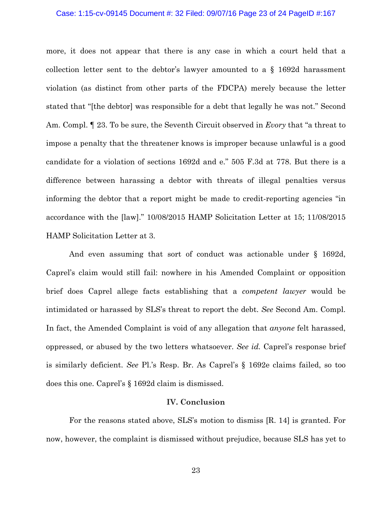#### Case: 1:15-cv-09145 Document #: 32 Filed: 09/07/16 Page 23 of 24 PageID #:167

more, it does not appear that there is any case in which a court held that a collection letter sent to the debtor's lawyer amounted to a § 1692d harassment violation (as distinct from other parts of the FDCPA) merely because the letter stated that "[the debtor] was responsible for a debt that legally he was not." Second Am. Compl. ¶ 23. To be sure, the Seventh Circuit observed in *Evory* that "a threat to impose a penalty that the threatener knows is improper because unlawful is a good candidate for a violation of sections 1692d and e." 505 F.3d at 778. But there is a difference between harassing a debtor with threats of illegal penalties versus informing the debtor that a report might be made to credit-reporting agencies "in accordance with the [law]." 10/08/2015 HAMP Solicitation Letter at 15; 11/08/2015 HAMP Solicitation Letter at 3.

And even assuming that sort of conduct was actionable under § 1692d, Caprel's claim would still fail: nowhere in his Amended Complaint or opposition brief does Caprel allege facts establishing that a *competent lawyer* would be intimidated or harassed by SLS's threat to report the debt. *See* Second Am. Compl. In fact, the Amended Complaint is void of any allegation that *anyone* felt harassed, oppressed, or abused by the two letters whatsoever. *See id.* Caprel's response brief is similarly deficient. *See* Pl.'s Resp. Br. As Caprel's § 1692e claims failed, so too does this one. Caprel's § 1692d claim is dismissed.

### **IV. Conclusion**

For the reasons stated above, SLS's motion to dismiss [R. 14] is granted. For now, however, the complaint is dismissed without prejudice, because SLS has yet to